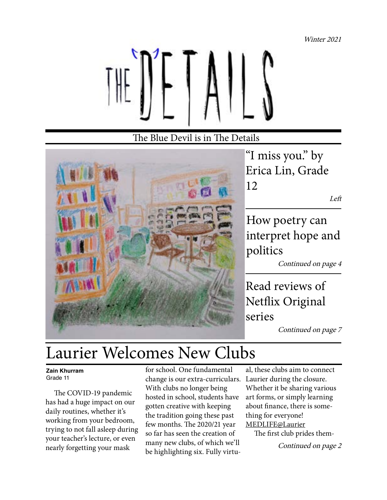Winter 2021



#### The Blue Devil is in The Details



"I miss you." by Erica Lin, Grade 12

Left

How poetry can interpret hope and politics

Continued on page 4

Read reviews of Netflix Original series

Continued on page 7

### Laurier Welcomes New Clubs

#### **Zain Khurram** Grade 11

 The COVID-19 pandemic has had a huge impact on our daily routines, whether it's working from your bedroom, trying to not fall asleep during your teacher's lecture, or even nearly forgetting your mask

for school. One fundamental change is our extra-curriculars. With clubs no longer being hosted in school, students have gotten creative with keeping the tradition going these past few months. The 2020/21 year so far has seen the creation of many new clubs, of which we'll be highlighting six. Fully virtu-

al, these clubs aim to connect Laurier during the closure. Whether it be sharing various art forms, or simply learning about finance, there is something for everyone! MEDLIFE@Laurier

 The first club prides them-Continued on page 2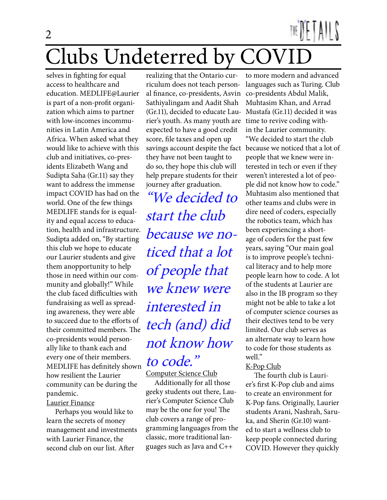## Clubs Undeterred by COVID 2

selves in fighting for equal access to healthcare and education. MEDLIFE@Laurier is part of a non-profit organization which aims to partner with low-incomes incommunities in Latin America and Africa. When asked what they would like to achieve with this club and initiatives, co-presidents Elizabeth Wang and Sudipta Saha (Gr.11) say they want to address the immense impact COVID has had on the world. One of the few things MEDLIFE stands for is equality and equal access to education, health and infrastructure. Sudipta added on, "By starting this club we hope to educate our Laurier students and give them anopportunity to help those in need within our community and globally!" While the club faced difficulties with fundraising as well as spreading awareness, they were able to succeed due to the efforts of their committed members. The co-presidents would personally like to thank each and every one of their members. MEDLIFE has definitely shown how resilient the Laurier community can be during the pandemic. Laurier Finance

 Perhaps you would like to learn the secrets of money management and investments with Laurier Finance, the second club on our list. After

realizing that the Ontario curriculum does not teach personal finance, co-presidents, Asvin Sathiyalingam and Aadit Shah (Gr.11), decided to educate Laurier's youth. As many youth are expected to have a good credit score, file taxes and open up savings account despite the fact because we noticed that a lot of they have not been taught to do so, they hope this club will help prepare students for their journey after graduation.

"We decided to start the club because we noticed that a lot of people that we knew were interested in tech (and) did not know how to code."

Computer Science Club

 Additionally for all those geeky students out there, Laurier's Computer Science Club may be the one for you! The club covers a range of programming languages from the classic, more traditional languages such as Java and C++

to more modern and advanced languages such as Turing. Club co-presidents Abdul Malik, Muhtasim Khan, and Arrad Mustafa (Gr.11) decided it was time to revive coding within the Laurier community. "We decided to start the club people that we knew were interested in tech or even if they weren't interested a lot of people did not know how to code." Muhtasim also mentioned that other teams and clubs were in dire need of coders, especially the robotics team, which has been experiencing a shortage of coders for the past few years, saying "Our main goal is to improve people's technical literacy and to help more people learn how to code. A lot of the students at Laurier are also in the IB program so they might not be able to take a lot of computer science courses as their electives tend to be very limited. Our club serves as an alternate way to learn how to code for those students as

#### K-Pop Club

well."

 The fourth club is Laurier's first K-Pop club and aims to create an environment for K-Pop fans. Originally, Laurier students Arani, Nashrah, Saruka, and Sherin (Gr.10) wanted to start a wellness club to keep people connected during COVID. However they quickly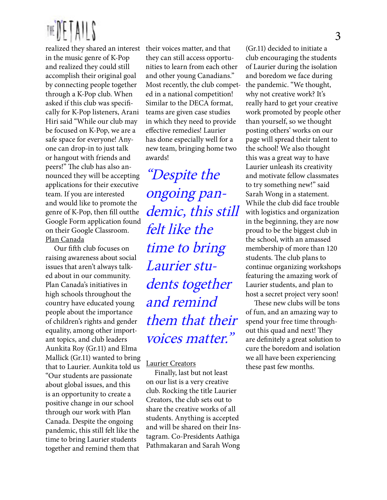

realized they shared an interest their voices matter, and that in the music genre of K-Pop and realized they could still accomplish their original goal by connecting people together through a K-Pop club. When asked if this club was specifically for K-Pop listeners, Arani Hiri said "While our club may be focused on K-Pop, we are a safe space for everyone! Anyone can drop-in to just talk or hangout with friends and peers!" The club has also announced they will be accepting applications for their executive team. If you are interested and would like to promote the genre of K-Pop, then fill outthe Google Form application found on their Google Classroom. Plan Canada

 Our fifth club focuses on raising awareness about social issues that aren't always talked about in our community. Plan Canada's initiatives in high schools throughout the country have educated young people about the importance of children's rights and gender equality, among other important topics, and club leaders Aunkita Roy (Gr.11) and Elma Mallick (Gr.11) wanted to bring that to Laurier. Aunkita told us "Our students are passionate about global issues, and this is an opportunity to create a positive change in our school through our work with Plan Canada. Despite the ongoing pandemic, this still felt like the time to bring Laurier students together and remind them that

they can still access opportunities to learn from each other and other young Canadians." Most recently, the club competed in a national competition! Similar to the DECA format, teams are given case studies in which they need to provide effective remedies! Laurier has done especially well for a new team, bringing home two awards!

"Despite the ongoing pandemic, this still felt like the time to bring Laurier students together and remind them that their voices matter."

#### Laurier Creators

 Finally, last but not least on our list is a very creative club. Rocking the title Laurier Creators, the club sets out to share the creative works of all students. Anything is accepted and will be shared on their Instagram. Co-Presidents Aathiga Pathmakaran and Sarah Wong

(Gr.11) decided to initiate a club encouraging the students of Laurier during the isolation and boredom we face during the pandemic. "We thought, why not creative work? It's really hard to get your creative work promoted by people other than yourself, so we thought posting others' works on our page will spread their talent to the school! We also thought this was a great way to have Laurier unleash its creativity and motivate fellow classmates to try something new!" said Sarah Wong in a statement. While the club did face trouble with logistics and organization in the beginning, they are now proud to be the biggest club in the school, with an amassed membership of more than 120 students. The club plans to continue organizing workshops featuring the amazing work of Laurier students, and plan to host a secret project very soon!

 These new clubs will be tons of fun, and an amazing way to spend your free time throughout this quad and next! They are definitely a great solution to cure the boredom and isolation we all have been experiencing these past few months.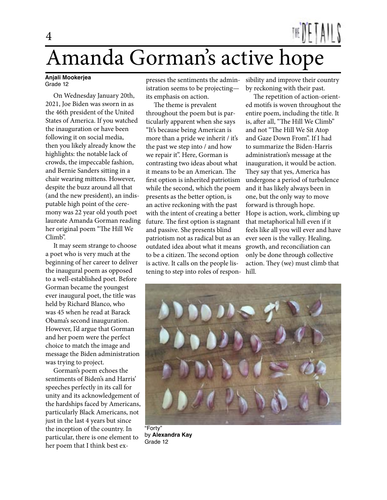## Amanda Gorman's active hope 4

#### **Anjali Mookerjea** Grade 12

 On Wednesday January 20th, 2021, Joe Biden was sworn in as the 46th president of the United States of America. If you watched the inauguration or have been following it on social media, then you likely already know the highlights: the notable lack of crowds, the impeccable fashion, and Bernie Sanders sitting in a chair wearing mittens. However, despite the buzz around all that (and the new president), an indisputable high point of the ceremony was 22 year old youth poet laureate Amanda Gorman reading her original poem "The Hill We Climb".

 It may seem strange to choose a poet who is very much at the beginning of her career to deliver the inaugural poem as opposed to a well-established poet. Before Gorman became the youngest ever inaugural poet, the title was held by Richard Blanco, who was 45 when he read at Barack Obama's second inauguration. However, I'd argue that Gorman and her poem were the perfect choice to match the image and message the Biden administration was trying to project.

 Gorman's poem echoes the sentiments of Biden's and Harris' speeches perfectly in its call for unity and its acknowledgement of the hardships faced by Americans, particularly Black Americans, not just in the last 4 years but since the inception of the country. In particular, there is one element to her poem that I think best ex-

presses the sentiments the administration seems to be projecting its emphasis on action.

 The theme is prevalent throughout the poem but is particularly apparent when she says "It's because being American is more than a pride we inherit / it's the past we step into / and how we repair it". Here, Gorman is contrasting two ideas about what it means to be an American. The first option is inherited patriotism while the second, which the poem presents as the better option, is an active reckoning with the past with the intent of creating a better future. The first option is stagnant and passive. She presents blind patriotism not as radical but as an outdated idea about what it means to be a citizen. The second option is active. It calls on the people listening to step into roles of respon-

sibility and improve their country by reckoning with their past.

 The repetition of action-oriented motifs is woven throughout the entire poem, including the title. It is, after all, "The Hill We Climb" and not "The Hill We Sit Atop and Gaze Down From". If I had to summarize the Biden-Harris administration's message at the inauguration, it would be action. They say that yes, America has undergone a period of turbulence and it has likely always been in one, but the only way to move forward is through hope. Hope is action, work, climbing up that metaphorical hill even if it feels like all you will ever and have ever seen is the valley. Healing, growth, and reconciliation can only be done through collective action. They (we) must climb that hill.



by **Alexandra Kay** Grade 12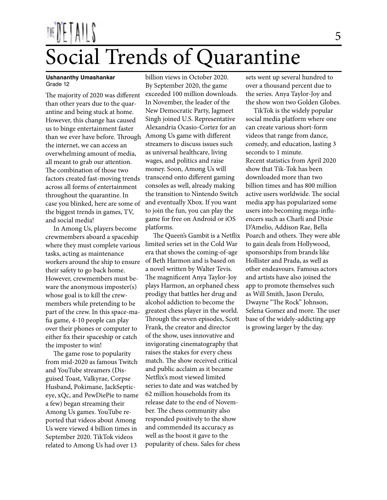# Social Trends of Quarantine

#### **Ushananthy Umashankar** Grade 12

The majority of 2020 was different than other years due to the quarantine and being stuck at home. However, this change has caused us to binge entertainment faster than we ever have before. Through Among Us game with different the internet, we can access an overwhelming amount of media, all meant to grab our attention. The combination of those two factors created fast-moving trends across all forms of entertainment throughout the quarantine. In case you blinked, here are some of the biggest trends in games, TV, and social media!

 In Among Us, players become crewmembers aboard a spaceship where they must complete various tasks, acting as maintenance workers around the ship to ensure their safety to go back home. However, crewmembers must beware the anonymous imposter(s) whose goal is to kill the crewmembers while pretending to be part of the crew. In this space-mafia game, 4-10 people can play over their phones or computer to either fix their spaceship or catch the imposter to win!

 The game rose to popularity from mid-2020 as famous Twitch and YouTube streamers (Disguised Toast, Valkyrae, Corpse Husband, Pokimane, JackSepticeye, xQc, and PewDiePie to name a few) began streaming their Among Us games. YouTube reported that videos about Among Us were viewed 4 billion times in September 2020. TikTok videos related to Among Us had over 13

billion views in October 2020. By September 2020, the game exceeded 100 million downloads. In November, the leader of the New Democratic Party, Jagmeet Singh joined U.S. Representative Alexandria Ocasio-Cortez for an streamers to discuss issues such as universal healthcare, living wages, and politics and raise money. Soon, Among Us will transcend onto different gaming consoles as well, already making the transition to Nintendo Switch and eventually Xbox. If you want to join the fun, you can play the game for free on Android or iOS platforms.

 The Queen's Gambit is a Netflix limited series set in the Cold War era that shows the coming-of-age of Beth Harmon and is based on a novel written by Walter Tevis. The magnificent Anya Taylor-Joy plays Harmon, an orphaned chess prodigy that battles her drug and alcohol addiction to become the greatest chess player in the world. Through the seven episodes, Scott Frank, the creator and director of the show, uses innovative and invigorating cinematography that raises the stakes for every chess match. The show received critical and public acclaim as it became Netflix's most viewed limited series to date and was watched by 62 million households from its release date to the end of November. The chess community also responded positively to the show and commended its accuracy as well as the boost it gave to the popularity of chess. Sales for chess

sets went up several hundred to over a thousand percent due to the series. Anya Taylor-Joy and the show won two Golden Globes.

 TikTok is the widely popular social media platform where one can create various short-form videos that range from dance, comedy, and education, lasting 3 seconds to 1 minute. Recent statistics from April 2020 show that Tik-Tok has been downloaded more than two billion times and has 800 million active users worldwide. The social media app has popularized some users into becoming mega-influencers such as Charli and Dixie D'Amelio, Addison Rae, Bella Poarch and others. They were able to gain deals from Hollywood, sponsorships from brands like Hollister and Prada, as well as other endeavours. Famous actors and artists have also joined the app to promote themselves such as Will Smith, Jason Derulo, Dwayne "The Rock" Johnson, Selena Gomez and more. The user base of the widely-addicting app is growing larger by the day.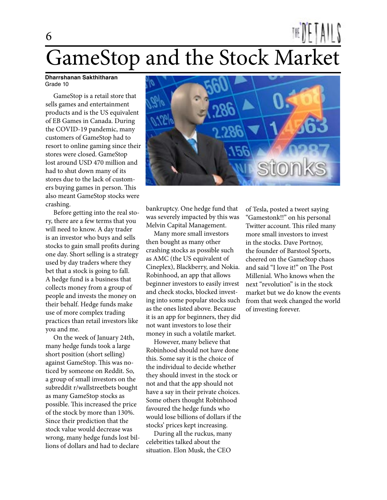## GameStop and the Stock Market

#### **Dharrshanan Sakthitharan** Grade 10

6

 GameStop is a retail store that sells games and entertainment products and is the US equivalent of EB Games in Canada. During the COVID-19 pandemic, many customers of GameStop had to resort to online gaming since their stores were closed. GameStop lost around USD 470 million and had to shut down many of its stores due to the lack of customers buying games in person. This also meant GameStop stocks were crashing.

 Before getting into the real story, there are a few terms that you will need to know. A day trader is an investor who buys and sells stocks to gain small profits during one day. Short selling is a strategy used by day traders where they bet that a stock is going to fall. A hedge fund is a business that collects money from a group of people and invests the money on their behalf. Hedge funds make use of more complex trading practices than retail investors like you and me.

 On the week of January 24th, many hedge funds took a large short position (short selling) against GameStop. This was noticed by someone on Reddit. So, a group of small investors on the subreddit r/wallstreetbets bought as many GameStop stocks as possible. This increased the price of the stock by more than 130%. Since their prediction that the stock value would decrease was wrong, many hedge funds lost billions of dollars and had to declare



bankruptcy. One hedge fund that was severely impacted by this was Melvin Capital Management.

 Many more small investors then bought as many other crashing stocks as possible such as AMC (the US equivalent of Cineplex), Blackberry, and Nokia. Robinhood, an app that allows beginner investors to easily invest and check stocks, blocked investing into some popular stocks such as the ones listed above. Because it is an app for beginners, they did not want investors to lose their money in such a volatile market.

 However, many believe that Robinhood should not have done this. Some say it is the choice of the individual to decide whether they should invest in the stock or not and that the app should not have a say in their private choices. Some others thought Robinhood favoured the hedge funds who would lose billions of dollars if the stocks' prices kept increasing.

 During all the ruckus, many celebrities talked about the situation. Elon Musk, the CEO

of Tesla, posted a tweet saying "Gamestonk!!" on his personal Twitter account. This riled many more small investors to invest in the stocks. Dave Portnoy, the founder of Barstool Sports, cheered on the GameStop chaos and said "I love it!" on The Post Millenial. Who knows when the next "revolution" is in the stock market but we do know the events from that week changed the world of investing forever.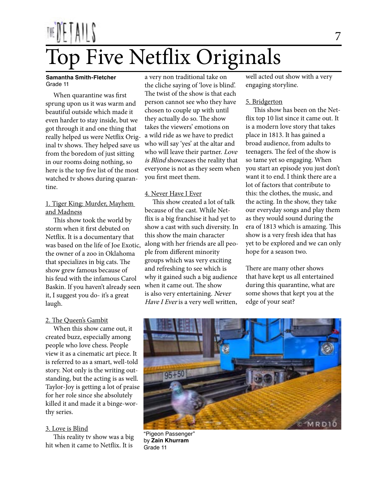# Top Five Netflix Originals

#### **Samantha Smith-Fletcher** Grade 11

 When quarantine was first sprung upon us it was warm and beautiful outside which made it even harder to stay inside, but we got through it and one thing that really helped us were Netflix Original tv shows. They helped save us from the boredom of just sitting in our rooms doing nothing, so here is the top five list of the most watched tv shows during quarantine.

#### 1. Tiger King: Murder, Mayhem and Madness

 This show took the world by storm when it first debuted on Netflix. It is a documentary that was based on the life of Joe Exotic, the owner of a zoo in Oklahoma that specializes in big cats. The show grew famous because of his feud with the infamous Carol Baskin. If you haven't already seen it, I suggest you do- it's a great laugh.

#### 2. The Queen's Gambit

 When this show came out, it created buzz, especially among people who love chess. People view it as a cinematic art piece. It is referred to as a smart, well-told story. Not only is the writing outstanding, but the acting is as well. Taylor-Joy is getting a lot of praise for her role since she absolutely killed it and made it a binge-worthy series.

#### 3. Love is Blind

 This reality tv show was a big hit when it came to Netflix. It is

a very non traditional take on the cliche saying of 'love is blind'. The twist of the show is that each person cannot see who they have chosen to couple up with until they actually do so. The show takes the viewers' emotions on a wild ride as we have to predict who will say 'yes' at the altar and who will leave their partner. Love is Blind showcases the reality that everyone is not as they seem when you first meet them.

#### 4. Never Have I Ever

 This show created a lot of talk because of the cast. While Netflix is a big franchise it had yet to show a cast with such diversity. In this show the main character along with her friends are all people from different minority groups which was very exciting and refreshing to see which is why it gained such a big audience when it came out. The show is also very entertaining. Never Have I Ever is a very well written,

well acted out show with a very engaging storyline.

#### 5. Bridgerton

 This show has been on the Netflix top 10 list since it came out. It is a modern love story that takes place in 1813. It has gained a broad audience, from adults to teenagers. The feel of the show is so tame yet so engaging. When you start an episode you just don't want it to end. I think there are a lot of factors that contribute to this: the clothes, the music, and the acting. In the show, they take our everyday songs and play them as they would sound during the era of 1813 which is amazing. This show is a very fresh idea that has yet to be explored and we can only hope for a season two.

There are many other shows that have kept us all entertained during this quarantine, what are some shows that kept you at the edge of your seat?



"Pigeon Passenger" by **Zain Khurram** Grade 11